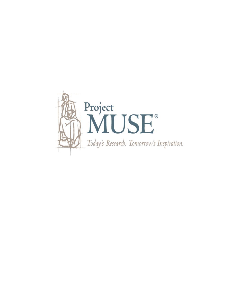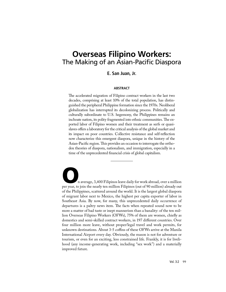# **Overseas Filipino Workers:** The Making of an Asian-Pacific Diaspora

## **E.** San Juan, Jr.

#### **ABSTRACT**

The accelerated migration of Filipino contract workers in the last two decades, comprising at least 10% of the total population, has distinguished the peripheral Philippine formation since the 1970s. Neoliberal globalization has interrupted its decolonizing process. Politically and culturally subordinate to U.S. hegemony, the Philippines remains an inchoate nation, its polity fragmented into ethnic communities. The exported labor of Filipino women and their treatment as serfs or quasislaves offers a laboratory for the critical analysis of the global market and its impact on poor countries. Collective resistance and self-reflection now characterize this emergent diaspora, unique in the history of the Asian-Pacific region. This provides an occasion to interrogate the orthodox theories of diaspora, nationalism, and immigration, especially in a time of the unprecedented financial crisis of global capitalism.

/<sup>n</sup> average, 3,400 Filipinos leave daily for work abroad, over <sup>a</sup> million per year, to join the nearly ten million Filipinos (out of 90 million) already out of the Philippines, scattered around the world. It is the largest global diaspora of migrant labor next to Mexico, the highest per capita exporter of labor in Southeast Asia. By now, for many, this unprecedented daily occurrence of departures is a paltry news item. The facts when repeated sound now to be more a matter of bad taste or inept mannerism than a banality: of the ten million Overseas Filipino Workers (OFWs), 75% of them are women, chiefly as domestics and semi-skilled contract workers, in 197 different countries. Over four million more leave, without proper/legal travel and work permits, for unknown destinations. About 3-5 coffins of these OFWs arrive at the Manila International Airport every day. Obviously, the reason is not for adventure or tourism, or even for an exciting, less constrained life. Frankly, it is for livelihood (any income-generating work, including "sex work") and a materially improved future.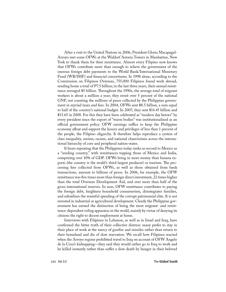After a visit to the United Nations in 2006, President Gloria Macapagal-Arroyo met some OFWs at the Waldorf Astoria Towers in Manhattan, New York to thank them for their remittance. Almost every Filipino now knows that OFWs contribute more than enough to relieve the government of the onerous foreign debt payments to the World Bank/International Monetary Fund (WB/IMF) and financial consortiums. In 1998 alone, according to the Commission on Filipinos Overseas, 755,000 Filipinos found work abroad, sending home a total of P7.5 billion; in the last three years, their annual remittance averaged \$5 billion. Throughout the 1990s, the average total of migrant workers is about a million a year; they remit over 5 percent of the national GNP, not counting the millions of pesos collected by the Philippine government in myriad taxes and fees. In 2004, OFWs sent \$8.5 billion, a sum equal to half of the country's national budget. In 2007, they sent \$14.45 billion and \$15.65 in 2008. For this they have been celebrated as "modern day heroes" by every president since the export of "warm bodies" was institutionalized as an official government policy. OFW earnings suffice to keep the Philippine economy afloat and support the luxury and privileges of less than 1 percent of the people, the Filipino oligarchy. It therefore helps reproduce a system of class inequality, sexism, racism, and national chauvinisms across the international hierarchy of core and peripheral nation-states.

It bears repeating that the Philippines today ranks as second to Mexico as a "sending country," with remittances topping those of Mexico and India, comprising over 10% of GDP. OFWs bring in more money than banana exports (the country is the world's third largest producer) or tourism. The processing fees collected from OFWs, as well as those obtained from bank transactions, amount to billions of pesos. In 2006, for example, the OFW remittance was five times more than foreign direct investment, 22 times higher than the total Overseas Development Aid, and over more than half of the gross international reserves. In sum, OFW remittance contributes to paying the foreign debt, heightens household consumerism, disintegrates families, and subsidizes the wasteful spending of the corrupt patrimonial elite. It is not invested in industrial or agricultural development. Clearly the Philippine government has earned the distinction of being the most migrant- and remittance-dependent ruling apparatus in the world, mainly by virtue of denying its citizens the right to decent employment at home.

Interviews with Filipinos in Lebanon, as well as in Israel and Iraq, have confirmed the bitter truth of their collective distress: many prefer to stay in their place of work at the mercy of gunfire and missiles rather than return to their homeland and die of slow starvation. We recall how Filipinos reacted when the Arroyo regime prohibited travel to Iraq on account of OFW Angelo de la Cruz's kidnapping—they said they would rather go to Iraq to work and be killed instantly rather than suffer a slow death by hunger in their beloved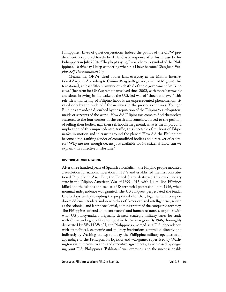Philippines. Lives of quiet desperation? Indeed the pathos of the OFW predicament is captured tersely by de la Cruz's response after his release by his kidnappers in July 2004: "They kept saying I was a hero...a symbol of the Philippines. To this day I keep wondering what it is I have become" (San Juan *Filipino Self-Determination* 20).

Meanwhile, OFWs' dead bodies land everyday at the Manila International Airport. According to Connie Bragas-Regalado, chair of Migrante International, at least fifteen "mysterious deaths" of these government "milking cows" (her term for OFWs) remain unsolved since 2002, with more harrowing anecdotes brewing in the wake of the U.S.-led war of "shock and awe." This relentless marketing of Filipino labor is an unprecedented phenomenon, rivaled only by the trade of African slaves in the previous centuries. Younger Filipinos are indeed disturbed by the reputation of the Filipina/o as ubiquitous maids or servants of the world. How did Filipinas/os come to find themselves scattered to the four corners of the earth and somehow forced to the position of selling their bodies, nay, their selfhoods? In general, what is the import and implication of this unprecedented traffic, this spectacle of millions of Filipinas/os in motion and in transit around the planet? How did the Philippines become a top-ranking sender of commodified bodies and a receiver of cadavers? Why are not enough decent jobs available for its citizens? How can we explain this collective misfortune?

## **HISTORICAL ORIENTATION**

After three hundred years of Spanish colonialism, the Filipino people mounted a revolution for national liberation in 1898 and established the first constitutional Republic in Asia. But, the United States destroyed this revolutionary state in the Filipino-American War of 1899–1913, with 1.4 million Filipinos killed and the islands annexed as a US territorial possession up to 1946, when nominal independence was granted. The US conquest perpetuated the feudal landlord system by co-opting the propertied elite that, together with comprador/middlemen traders and new cadres of Americanized intelligentsia, served as the colonial, and later neocolonial, administrators of the conquered territory. The Philippines offered abundant natural and human resources, together with what US policy-makers originally desired: strategic military bases for trade with China and a geopolitical outpost in the Asian region. By 1946, thoroughly devastated by World War II, the Philippines emerged as a U.S. dependency, with its political, economic and military institutions controlled directly and indirectly by Washington. Up to today, the Philippine military operates as an appendage of the Pentagon, its logistics and war-games supervised by Washington via numerous treaties and executive agreements, as witnessed by ongoing joint U.S.-Philippines "Balikatan" war exercises, and the unconscionable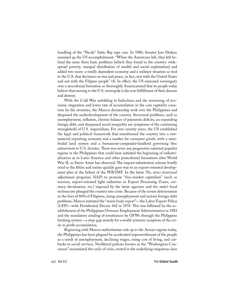handling of the "Nicole" Subic Bay rape case. In 1980, Senator Jose Diokno summed up the US accomplishment: "When the Americans left, they left behind the same three basic problems [which they found in the country: widespread poverty, unequal distribution of wealth and social exploitation] and added two more: a totally dependent economy and a military situation so tied to the U.S. that decisions on war and peace, in fact, rest with the United States and not with the Filipino people" (4). In effect, the US exercised sovereignty over a neocolonial formation so thoroughly Americanized that its people today believe that moving to the U.S. metropole is the true fulfillment of their dreams and destiny.

With the Cold War unfolding in Indochina and the worsening of economic stagnation and lower rate of accumulation in the core capitalist countries by the seventies, the Marcos dictatorship took over the Philippines and deepened the underdevelopment of the country. Structural problems, such as unemployment, inflation, chronic balance of payments deficits, an expanding foreign debt, and sharpened social inequality are symptoms of the continuing stranglehold of U.S. imperialism. For over seventy years, the US established the legal and political framework that transformed the country into a rawmaterial exporting economy and a market for consumer goods, with a semifeudal land system and a bureaucrat-comprador-landlord governing bloc subservient to U.S. dictates. There was never any progressive national-populist regime in the Philippines that could have initiated the beginning of industrialization as in Latin America and other postcolonial formations after World War II, as Samir Amin has observed. The import-substitution scheme briefly tried in the fifties and sixties quickly gave way to an export-oriented development plan at the behest of the WB/IMF. In the latter 70s, strict structural adjustment programs (SAP) to promote "free-market capitalism" (such as tourism, export-oriented light industries in Export Processing Zones, currency devaluation, etc.) imposed by the latter agencies and the state's local technocrats plunged the country into crisis. Because of the severe deterioration in the lives of 80% of Filipinos, rising unemployment and serious foreign-debt problems, Marcos initiated the "warm body export"—the Labor Export Policy (LEP)—with Presidential Decree 442 in 1974. This was followed by the establishment of the Philippines Overseas Employment Administration in 1983 and the mandatory sending of remittances by OFWs through the Philippine banking system—a stop-gap remedy for a world-systemic symptom of the crisis in profit accumulation.

Beginning with Marcos authoritarian rule up to the Arroyo regime today, the Philippines has been plagued by accelerated impoverishment of the people as a result of unemployment, declining wages, rising cost of living, and cutbacks in social services. Neoliberal policies known as the "Washington Consensus" maintained the cycle of crisis, rooted in the underlying iniquitous class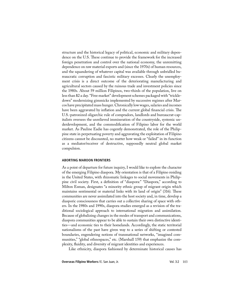structure and the historical legacy of political, economic and military dependence on the U.S. These continue to provide the framework for the increased foreign penetration and control over the national economy, the unremitting dependence on raw material exports and (since the 1970s) of human resources, and the squandering of whatever capital was available through unbridled bureaucratic corruption and fascistic military excesses. Clearly the unemployment crisis is a direct outcome of the deteriorating manufacturing and agricultural sectors caused by the ruinous trade and investment policies since the 1980s. About 59 million Filipinos, two-thirds of the population, live on less than \$2 a day."Free market" development schemes packaged with "trickledown" modernizing gimmicks implemented by successive regimes after Marcos have precipitated mass hunger. Chronically low wages, salaries and incomes have been aggravated by inflation and the current global financial crisis. The U.S.-patronized oligarchic rule of compradors, landlords and bureaucrat-capitalists oversees the unrelieved immiseration of the countryside, systemic underdevelopment, and the commodification of Filipino labor for the world market. As Pauline Eadie has cogently demonstrated, the role of the Philippine state in perpetuating poverty and aggravating the exploitation of Filipino citizens cannot be discounted, no matter how weak or "failed" in its function as a mediator/receiver of destructive, supposedly neutral global market compulsion.

## **ABORTING MAROON FRONTIERS**

As a point of departure for future inquiry, I would like to explore the character of the emerging Filipino diaspora. My orientation is that of a Filipino residing in the United States, with rhizomatic linkages to social movements in Philippine civil society. First, a definition of "diaspora:" "Diaspora," according to Milton Esman, designates "a minority ethnic group of migrant origin which maintains sentimental or material links with its land of origin" (316). These communities are never assimilated into the host society and, in time, develop a diasporic consciousness that carries out a collective sharing of space with others. In the 1980s and 1990s, diaspora studies emerged as a revision of the traditional sociological approach to international migration and assimilation. Because of globalizing changes in the modes of transport and communications, diaspora communities appear to be able to sustain their own distinctive identities—and economic ties to their homelands. Accordingly, the static territorial nationalisms of the past have given way to a series of shifting or contested boundaries, engendering notions of transnational networks, "imagined communities," "global ethnospaces," etc. (Marshall 159) that emphasize the complexity, fluidity, and diversity of migrant identities and experiences.

Like ethnicity, diaspora fashioned by determinate historical causes has

**Overseas Filipino Workers** / E. San Juan, Jr. **708 / 103 / 103 / 103 / 103 / 103 / 103 / 103 / 103 / 103 / 103 / 103 / 103 / 103 / 103 / 103 / 104 / 105 / 106 / 106 / 106 / 106 / 106 / 106 / 106 / 106 / 106 / 106 / 106 /**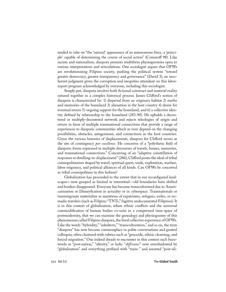tended to take on "the 'natural' appearance of an autonomous force, a 'principle' capable of determining the course of social action" (Comaroff 98). Like racism and nationalism, diaspora presents multiform physiognomies open to various interpretations and articulations. One sociologist argues that OFWs are revolutionizing Filipino society, pushing the political system "toward greater democracy, greater transparency and governance" (David 3), an incoherent judgment given the corruption and inequities attendant on this laborexport program acknowledged by everyone, including this sociologist.

Simply put, diaspora involves both fictional construct and material reality sutured together in a complex historical process. James Clifford's notion of diaspora is characterized by: 1) dispersal from an originary habitat 2) myths and memories of the homeland 3) alienation in the host country 4) desire for eventual return 5) ongoing support for the homeland, and 6) a collective identity defined by relationship to the homeland (283-90). He upholds a decentered or multiply-decentered network and rejects teleologies of origin and return in favor of multiple transnational connections that provide a range of experiences to diasporic communities which in turn depend on the changing possibilities, obstacles, antagonisms, and connections in the host countries. Given the various histories of displacements, diaspora for Clifford serves as the site of contingency *par excellence*. He conceives of a "polythetic field of diasporic forms expressed in multiple discourses of travels, homes, memories, and transnational connections." Conceiving of an "adaptive constellation of responses to dwelling-in-displacement" (286), Clifford posits the ideal of tribal cosmopolitanism shaped by travel, spiritual quest, trade, exploration, warfare, labor migrancy, and political alliances of all kinds. Can OFWs be conceived as tribal cosmopolitans in this fashion?

Globalization has proceeded to the extent that in our reconfigured landscapes—now grasped as liminal or interstitial—old boundaries have shifted and borders disappeared. Everyone has become transculturized due to Americanization or Disneyfication in actuality or in cyberspace. Transnationals or transmigrants materialize as mutations of expatriates, refugees, exiles, or nomadic travelers (such as Filipino "TNTs," fugitive undocumented Filipinos). It is in this context of globalization, where ethnic conflicts and the universal commodification of human bodies co-exist in a compressed time-space of postmodernity, that we can examine the genealogy and physiognomy of this phenomenon called Filipino diaspora, the lived collective experience of OFWs. Like the words "hybridity," "subaltern," "transculturation," and so on, the term "diaspora" has now become commonplace in polite conversations and genteel colloquia, often clustered with rubrics such as "genocide, ethnic cleansing, and forced migration." One indeed dreads to encounter in this context such buzzwords as "post-nation," "alterity," or ludic "*differance*" now overshadowed by "globalization" and everything prefixed with "trans-" and assorted "post-ali-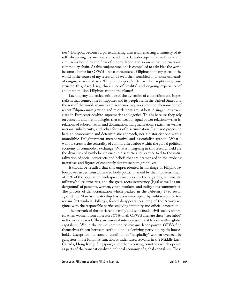ties." Diaspora becomes a particularizing universal, enacting a mimicry of itself, dispersing its members around in a kaleidoscope of simulations and simulacras borne by the flow of money, labor, and so on in the international commodity chain. At this conjuncture, one is compelled to ask: Has the world become a home for OFWs? I have encountered Filipinos in many parts of the world in the course of my research. Have I then stumbled onto some unheardof enigmatic scandal as a "Filipino diaspora"? Or have I surreptitiously constructed this, dare I say, thick slice of "reality" and ongoing experience of about ten million Filipinos around the planet?

Lacking any dialectical critique of the dynamics of colonialism and imperialism that connect the Philippines and its peoples with the United States and the rest of the world, mainstream academic inquiries into the phenomenon of recent Filipino immigration and resettlement are, at best, disingenuous exercises in Eurocentric/white-supremacist apologetics. This is because they rely on concepts and methodologies that conceal unequal power relations—that is, relations of subordination and domination, marginalization, sexism, as well as national subalternity, and other forms of discrimination. I am not proposing here an economistic and deterministic approach, nor a historicist one with a monolithic Enlightenment metanarrative and essentialist agenda. What I want to stress is the centrality of commodified labor within the global political economy of commodity exchange. What is intriguing in this research field are the dynamics of symbolic violence in discourse and practice tied to the naturalization of social constructs and beliefs that are dramatized in the evolving narratives and figures of concretely determinate migrant lives.

It should be recalled that this unprecedented hemorrhage of Filipino labor-power issues from a diseased body politic, marked by the impoverishment of 75 % of the population, widespread corruption by the oligarchy, criminality, military/police atrocities, and the grass-roots insurgency (legal as well as underground) of peasants, women, youth, workers, and indigenous communities. The process of democratization which peaked in the February 1986 revolt against the Marcos dictatorship has been interrupted by military-police terrorism (extrajudicial killings, forced disappearances, etc.) of the Arroyo regime, with the responsible parties enjoying impunity and official protection.

The network of the patriarchal family and semi-feudal civil society unravels when women from all sectors (75% of all OFWs) alienate their "free labor" in the world market. They are inserted into a quasi-feudal terrain within global capitalism. While the prime commodity remains labor-power, OFWs find themselves frozen between serfhood and colonizing petty bourgeois households. Except for the carceral condition of "hospitality" women overseen by gangsters, most Filipinas function as indentured servants in the Middle East, Canada, Hong Kong, Singapore, and other receiving countries which operate as parts of the transnationalized political economy of global capitalism. These

**/VERSEAS &ILIPINO 7ORKERS** % 3AN \*UAN \*R 6OL 105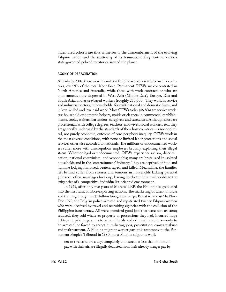indentured cohorts are thus witnesses to the dismemberment of the evolving Filipino nation and the scattering of its traumatized fragments to various state-governed policed territories around the planet.

## **AGONY OF DERACINATION**

Already by 2007, there were 9.2 million Filipino workers scattered in 197 countries, over 9% of the total labor force. Permanent OFWs are concentrated in North America and Australia, while those with work contracts or who are undocumented are dispersed in West Asia (Middle East), Europe, East and South Asia, and as sea-based workers (roughly 250,000). They work in service and industrial sectors, in households, for multinational and domestic firms, and in low-skilled and low-paid work. Most OFWs today (46.8%) are service workers: household or domestic helpers, maids or cleaners in commercial establishments, cooks, waiters, bartenders, caregivers and caretakers. Although most are professionals with college degrees, teachers, midwives, social workers, etc., they are generally underpaid by the standards of their host countries—a sociopolitical, not purely economic, outcome of core-periphery inequity. OFWs work in the most adverse conditions, with none or limited labor protections and social services otherwise accorded to nationals. The millions of undocumented workers suffer more with unscrupulous employers brutally exploiting their illegal status. Whether legal or undocumented, OFWs experience racism, discrimination, national chauvinism, and xenophobia; many are brutalized in isolated households and in the "entertainment" industry. They are deprived of food and humane lodging, harassed, beaten, raped, and killed. Meanwhile, the families left behind suffer from stresses and tensions in households lacking parental guidance; often, marriages break up, leaving derelict children vulnerable to the exigencies of a competitive, individualist-oriented environment.

In 1979, after only five years of Marcos' LEP, the Philippines graduated into the first rank of labor-exporting nations. The marketing of talent, muscle and training brought in \$1 billion foreign exchange. But at what cost? In Nov-Dec 1979, the Belgian police arrested and repatriated twenty Filipina women who were deceived by travel and recruiting agencies with the collusion of the Philippine bureaucracy. All were promised good jobs that were non-existent; seduced, they sold whatever property or possessions they had, incurred huge debts, and paid huge sums to venal officials and criminal recruiters—only to be arrested, or forced to accept humiliating jobs, prostitution, constant abuse and maltreatment. A Filipina migrant worker gave this testimony to the Permanent People's Tribunal in 1980: most Filipina migrants work

ten or twelve hours a day, completely uninsured, at less than minimum pay with their airfare illegally deducted from their already meager pay by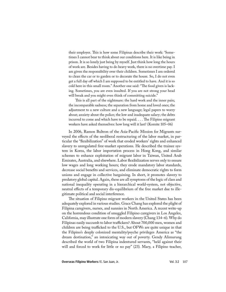their employer. This is how some Filipinas describe their work: 'Sometimes I cannot bear to think about our conditions here. It is like being in prison. It is so lonely just being by myself. Just think how long the hours of work are. Besides having to do heavy work, there is no overtime pay. I am given the responsibility over their children. Sometimes I am ordered to clean the car or to garden or to decorate the house. So, I do not even get a full day off which I am supposed to be entitled to have. And it is so cold here in this small room." Another one said: "The food given is lacking. Sometimes, you are even insulted. If you are not strong your head will break and you might even think of committing suicide."

This is all part of the nightmare: the hard work and the inner pain; the incomparable sadness; the separation from home and loved ones; the adjustment to a new culture and a new language; legal papers to worry about; anxiety about the police; the low and inadequate salary; the debts incurred to come and which have to be repaid.  $\ldots$  The Filipino migrant workers have asked themselves: how long will it last? (Komite 105–06)

In 2006, Ramon Bultron of the Asia-Pacific Mission for Migrants surveyed the effects of the neoliberal restructuring of the labor market, in particular the "flexibilization" of work that eroded workers' rights and enhanced slavery to unregulated free-market operations. He described the trainee system in Korea, the labor importation process in Hong Kong, and similar schemes to enhance exploitation of migrant labor in Taiwan, United Arab Emirates, Australia, and elsewhere. Labor flexibilization serves only to ensure low wages and long working hours; they erode mandatory labor standards, decrease social benefits and services, and eliminate democratic rights to form unions and engage in collective bargaining. In short, it promotes slavery to predatory global capital. Again, these are all symptoms of the logic of class and national inequality operating in a hierarchical world-system, not objective, neutral effects of a temporary dis-equilibrium of the free market due to illegitimate political and social interference.

The situation of Filipino migrant workers in the United States has been adequately explored in various studies. Grace Chang has explored the plight of Filipina caregivers, nurses, and nannies in North America. A recent write-up on the horrendous condition of smuggled Filipino caregivers in Los Angeles, California, may illustrate one form of modern slavery (Chang 134–6). Why do Filipinas easily succumb to labor traffickers? About 700,000 men, women and children are being trafficked to the U.S., but OFWs are quite unique in that the Filipino's deeply colonized mentality/psyche privileges America as "the dream destination," an intoxicating way out of poverty. Gendy Alimurung described the world of two Filipina indentured servants, "held against their will and forced to work for little or no pay" (23). Mary, a Filipino teacher,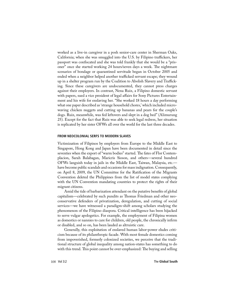worked as a live-in caregiver in a posh senior-care center in Sherman Oaks, California; when she was smuggled into the U.S. by Filipino traffickers, her passport was confiscated and she was told frankly that she would be a "prisoner" once she started working 24 hours/seven days a week. The nightmare scenarios of bondage or quarantined servitude began in October 2005 and ended when a neighbor helped another trafficked servant escape; they wound up in a shelter program run by the Coalition to Abolish Slavery and Trafficking. Since these caregivers are undocumented, they cannot press charges against their employers. In contrast, Nena Ruiz, a Filipino domestic servant with papers, sued a vice president of legal affairs for Sony Pictures Entertainment and his wife for enslaving her. "She worked 18 hours a day performing what one paper described as 'strange household chores,' which included microwaving chicken nuggets and cutting up bananas and pears for the couple's dogs. Ruiz, meanwhile, was fed leftovers and slept in a dog bed" (Alimurung 25). Except for the fact that Ruiz was able to seek legal redress, her situation is replicated by her sister OFWs all over the world for the last three decades.

#### **FROM NEOCOLONIAL SERFS TO MODERN SLAVES**

Victimization of Filipinos by employers from Europe to the Middle East to Singapore, Hong Kong and Japan have been documented in detail since the seventies when the export of "warm bodies" started. The fates of Flor Contemplacion, Sarah Balabagan, Maricris Sioson, and others—several hundred OFWs languish today in jails in the Middle East, Taiwan, Malaysia, etc. have become public scandals and occasions for mass indignation. Consequently, on April 8, 2009, the UN Committee for the Ratification of the Migrants Convention deleted the Philippines from the list of model states complying with the UN Convention mandating countries to protect the rights of their migrant citizens.

Amid the tide of barbarization attendant on the putative benefits of global capitalism—celebrated by such pundits as Thomas Friedman and other neoconservative defenders of privatization, deregulation, and cutting of social services—we have witnessed a paradigm-shift among scholars studying the phenomenon of the Filipino diaspora. Critical intelligence has been hijacked to serve vulgar apologetics. For example, the employment of Filipina women as domestics or nannies to care for children, old people, the chronically infirm or disabled, and so on, has been lauded as altruistic care.

Generally, this exploitation of enslaved human labor-power eludes criticism because of its philanthropic facade. With most female domestics coming from impoverished, formerly colonized societies, we perceive that the traditional structure of global inequality among nation-states has something to do with this trend. This point cannot be over-emphasized: The buying and selling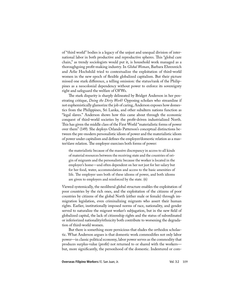of "third world" bodies is a legacy of the unjust and unequal division of international labor in both productive and reproductive spheres. This "global care chain," as trendy sociologists would put it, is household work managed as a thoroughgoing profit-making industry. In *Global Woman*, Barbara Ehrenreich and Arlie Hochshild tried to contextualize the exploitation of third-world women in the new epoch of flexible globalized capitalism. But their picture missed one stark difference, a telling omission: the status/rank of the Philippines as a neocolonial dependency without power to enforce its sovereignty right and safeguard the welfare of OFWs.

The stark disparity is sharply delineated by Bridget Anderson in her penetrating critique, *Doing the Dirty Work*? Opposing scholars who streamline if not euphemistically glamorize the job of caring, Anderson exposes how domestics from the Philippines, Sri Lanka, and other subaltern nations function as "legal slaves." Anderson shows how this came about through the economic conquest of third-world societies by the profit-driven industrialized North. This has given the middle class of the First World "materialistic forms of power over them" (149). She deploys Orlando Patterson's conceptual distinctions between the pre-modern personalistic idiom of power and the materialistic idiom of power under capitalism and defines the employer/domestic relation as a master/slave relation. The employer exercises both forms of power:

the materialistic because of the massive discrepancy in access to all kinds of material resources between the receiving state and the countries of origin of migrants and the personalistic because the worker is located in the employer's home—and often dependent on her not just for her salary but for her food, water, accommodation and access to the basic amenities of life. The employer uses both of these idioms of power, and both idioms are given to employers and reinforced by the state. (6)

Viewed systemically, the neoliberal global structure enables the exploitation of poor countries by the rich ones, and the exploitation of the citizens of poor countries by citizens of the global North (either male or female) through immigration legislation, even criminalizing migrants who assert their human rights. Earlier, institutionally imposed norms of race, nationality, and gender served to naturalize the migrant worker's subjugation, but in the new field of globalized capital, the lack of citizenship rights and the status of subordinated or inferiorized nationality/ethnicity both contribute to worsening the degradation of third-world women.

But there is something more pernicious that eludes the orthodox scholastic. What Anderson argues is that domestic work commodifies not only labor power—in classic political economy, labor power serves as the commodity that produces surplus-value (profit) not returned to or shared with the workers but, more significantly, the personhood of the domestic. Indentured or com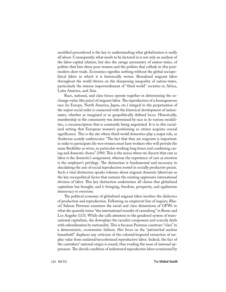modified personhood is the key to understanding what globalization is really all about. Consequently, what needs to be factored in is not only an analysis of the labor-capital relation, but also the savage asymmetry of nation-states, of polities that hire these poor women and the polities that collude in this postmodern slave-trade. Economics signifies nothing without the global sociopolitical fabric in which it is historically woven. Brutalized migrant labor throughout the world thrives on the sharpening inequality of nation-states, particularly the intense impoverishment of "third world" societies in Africa, Latin America, and Asia.

Race, national, and class forces operate together in determining the exchange-value (the price) of migrant labor. The reproduction of a homogeneous race (in Europe, North America, Japan, etc.) integral to the perpetuation of the unjust social order is connected with the historical development of nationstates, whether as imagined or as geopolitically defined locus. Historically, membership in the community was determined by race in its various modalities, a circumscription that is constantly being negotiated. It is in this racialized setting that European women's positioning as citizen acquires crucial significance. This is the site where third-world domestics play a major role, as Anderson acutely underscores: "The fact that they are migrants is important: in order to participate *like men* women must have workers who will provide the same flexibility as wives, in particular working long hours and combining caring and domestic chores" (190). This is the nexus where we discern that care as labor is the domestic's assignment, whereas the experience of care as emotion is the employer's privilege. The distinction is fundamental and necessary in elucidating the axis of social reproduction rooted in socially productive praxis. Such a vital distinction speaks volumes about migrant domestic labor/care as the key sociopolitical factor that sustains the existing oppressive international division of labor. This key distinction undermines all claims that globalized capitalism has brought, and is bringing, freedom, prosperity, and egalitarian democracy to everyone.

The political economy of globalized migrant labor involves the dialectics of production and reproduction. Following an empiricist line of inquiry, Rhacel Salazar Parrenas examines the racial and class dimensions of OFWs in what she quaintly terms "the international transfer of caretaking" in Rome and Los Angeles (113). While she calls attention to the gendered system of transnational capitalism, she downplays the racialist component and scarcely deals with subordination by nationality. This is because Parrenas construes "class" in a deterministic, economistic fashion. Her focus on the "patriarchal nuclear household" displaces any criticism of the colonial/imperial extraction of surplus value from enslaved/neocolonized reproductive labor. Indeed, the fact of the caretakers' national origin is erased, thus evading the issue of national oppression. The slavish condition of indentured reproductive labor scrutinized by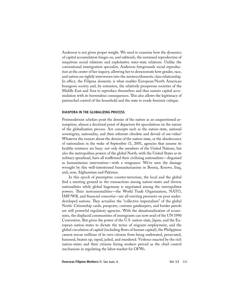Anderson is not given proper weight. We need to examine how the dynamics of capital accumulation hinges on, and subtends, the sustained reproduction of iniquitous social relations and exploitative inter-state relations. Unlike the conventional immigration specialist, Anderson foregrounds social reproduction at the center of her inquiry, allowing her to demonstrate how gender, race, and nation are tightly interwoven into the mistress/domestic class relationship. In effect, the Filipina domestic is what enables European/North American bourgeois society and, by extension, the relatively prosperous societies of the Middle East and Asia to reproduce themselves and thus sustain capital accumulation with its horrendous consequences. This also allows the legitimacy of patriarchal control of the household and the state to evade feminist critique.

#### $DIASPORA IN THE GLOBALIZING PROCESS$

Postmodernist scholars posit the demise of the nation as an unquestioned assumption, almost a doctrinal point of departure for speculations on the nature of the globalization process. Are concepts such as the nation-state, national sovereignty, nationality, and their referents obsolete and devoid of use-value? Whatever the rumors about the demise of the nation-state, or the obsolescence of nationalism in the wake of September 11, 2001, agencies that assume its healthy existence are busy: not only the members of the United Nations, but also the metropolitan powers of the global North, with the United States as its military spearhead, have all reaffirmed their civilizing nationalism—disguised as humanitarian intervention—with a vengeance. We've seen the damage wrought by this well-intentioned humanitarianism in Bosnia, Kosovo, Iraq, and, now, Afghanistan and Pakistan.

In this epoch of preemptive counter-terrorism, the local and the global find a meeting ground in the transactions among nation-states and diverse nationalities while global hegemony is negotiated among the metropolitan powers. Their instrumentalities—the World Trade Organization, NATO, IMF/WB, and financial consortia—are all exerting pressures on poor underdeveloped nations. They actualize the "collective imperialism" of the global North. Citizenship cards, passports, customs gatekeepers, and border patrols are still powerful regulatory agencies. With the denationalization of economies, the displaced communities of immigrants can now avail of the UN 1990 Convention. But given the power of the U.S. nation-state, Japan, and the European nation-states to dictate the terms of migrant employment, and the global circulation of capital (including flows of human capital), the Philippines cannot rescue millions of its own citizens from being maltreated, persecuted, harassed, beaten up, raped, jailed, and murdered. Violence enacted by the rich nation-states and their citizens hiring workers prevail as the chief control mechanism in regulating the labor-market for OFWs.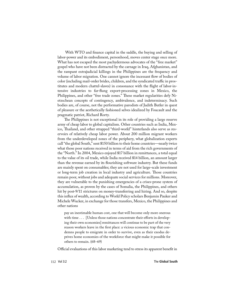With WTO and finance capital in the saddle, the buying and selling of labor-power and its embodiment, personhood, moves center stage once more. What has not escaped the most pachydermous advocates of the "free market" gospel who have not been distracted by the carnage in Iraq, Afghanistan, and the rampant extrajudicial killings in the Philippines are the frequency and volume of labor migration. One cannot ignore the incessant flow of bodies of color (including mail-order brides, children, and the syndicated traffic in prostitutes and modern chattel-slaves) in consonance with the flight of labor-intensive industries to far-flung export-processing zones in Mexico, the Philippines, and other "free trade zones." These market regularities defy Nietzschean concepts of contingency, ambivalence, and indeterminacy. Such bodies are, of course, not the performative parodists of Judith Butler in quest of pleasure or the aesthetically fashioned selves idealized by Foucault and the pragmatic patriot, Richard Rorty.

The Philippines is not exceptional in its role of providing a large reserve army of cheap labor to global capitalism. Other countries such as India, Mexico, Thailand, and other strapped "third-world" hinterlands also serve as reservoirs of relatively cheap labor power. About 200 million migrant workers from the underdeveloped zones of the periphery, what globalization experts call "the global South," sent \$150 billion to their home countries—nearly twice what those poor nations received in terms of aid from the rich governments of the "North." In 2004, Mexico enjoyed \$17 billion in remittances, a total equal to the value of its oil trade, while India received \$14 billion, an amount larger than the revenue earned by its flourishing software industry. But these funds are mainly spent on consumables; they are not used for large-scale investment or long-term job creation in local industry and agriculture. Those countries remain poor, without jobs and adequate social services for millions. Moreover, they are vulnerable to the punishing emergencies of a crises-prone system of accumulation, as proven by the cases of Somalia, the Philippines, and others hit by post-9/11 strictures on money-transferring and hiring. And so, despite this influx of wealth, according to World Policy scholars Benjamin Pauker and Michele Wucker, in exchange for those transfers, Mexico, the Philippines and other nations

pay an inestimable human cost, one that will become only more onerous with time . . . [Unless those nations concentrate their efforts in developing their own economies] remittances will continue to be part of the very reason workers leave in the first place: a vicious economic trap that condemns people to emigrate in order to survive, even as their exodus deprives home economies of the workforce that might make it possible for others to remain. (68–69)

Official evaluations of this labor marketing tend to stress its apparent benefit in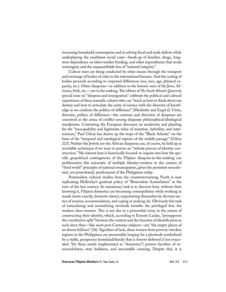increasing household consumption and in solving fiscal and trade deficits while underplaying the exorbitant social costs—break-up of families, drugs, longterm dependence on labor-market funding, and other expenditures that erode sovereignty and the unquantifiable loss of "national integrity."

Culture wars are being conducted by other means through the transport and exchange of bodies of color in the international bazaars. And the scaling of bodies proceeds according to corporeal differences (sex, race, age, physical capacity, etc.). Other diasporas—in addition to the historic ones of the Jews, Africans, Irish, etc.—are in the making. The editors of *The South Atlantic Quarterly* special issue on "diaspora and immigration" celebrate the political and cultural experiences of these nomadic cohorts who can "teach us how to think about our destiny and how to articulate the unity of science with the diversity of knowledge as we confront the politics of difference" (Mudimbe and Engel 6). Unity, diversity, politics of difference—the contours and direction of diasporas are conceived as the arena of conflict among disparate philosophical/ideological standpoints. Contesting the European discourse on modernity and pleading for the "inescapability and legitimate value of mutation, hybridity, and intermixture," Paul Gilroy has drawn up the trope of the "Black Atlantic" on the basis of the "temporal and ontological rupture of the middle passage" (Gilroy 223). Neither the Jewish nor the African diasporas can, of course, be held up as inviolable archetypes if we want to pursue an "infinite process of identity construction." My interest here is historically focused: to inquire into how the specific geopolitical contingencies of the Filipino diaspora-in-the-making can problematize this axiomatic of multiple identity-creation in the context of "third world" principles of national emancipation, given the persistent neocolonial, not postcolonial, predicament of the Philippines today.

Postmodern cultural studies from the counterterrorizing North is now replicating McKinley's gunboat policy of "Benevolent Assimilation" at the turn of the last century. Its missionary task is to discover how, without their knowing it, Filipina domestics are becoming cosmopolitans while working as maids (more exactly, domestic slaves), empowering themselves by devious tactics of evasion, accommodation, and coping or making-do. Obviously this task of naturalizing and normalizing servitude benefits the privileged few, the modern slave-masters. This is not due to a primordial irony in the nature of constructing their identity, which, according to Ernesto Laclau, "presupposes the constitutive split" between the content and the function of identification as such since they—like most post-Cartesian subjects—are "the empty places of an absent fullness" (36). Signifiers of lack, these women from poverty-stricken regions in the Philippines are presumably longing for a plenitude symbolized by a stable, prosperous homeland/family that is forever deferred if not evacuated. Yet these maids (euphemized as "domestics") possess faculties of resourcefulness, stoic boldness, and inscrutable cunning. Despite this, it is

**Overseas Filipino Workers / E. San Juan, Jr. (2008) 79 and 50 and 50 and 70 and 70 and 70 and 70 and 70 and 70**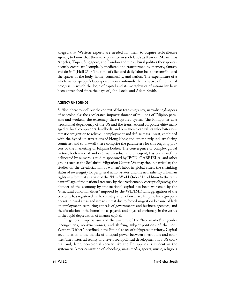alleged that Western experts are needed for them to acquire self-reflexive agency, to know that their very presence in such lands as Kuwait, Milan, Los Angeles, Taipei, Singapore, and London and the cultural politics they spontaneously create are "complexly mediated and transformed by memory, fantasy and desire" (Hall 254). The time of alienated daily labor has so far annihilated the spaces of the body, home, community, and nation. The expenditure of a whole nation-people's labor-power now confounds the narrative of individual progress in which the logic of capital and its metaphysics of rationality have been entrenched since the days of John Locke and Adam Smith.

#### **AGENCY UNBOUND?**

Suffice it here to spell out the context of this transmigrancy, an evolving diaspora of neocolonials: the accelerated impoverishment of millions of Filipino peasants and workers, the extremely class-ruptured system (the Philippines as a neocolonial dependency of the US and the transnational corporate elite) managed by local compradors, landlords, and bureaucrat-capitalists who foster systematic emigration to relieve unemployment and defuse mass unrest, combined with the hyped-up attractions of Hong Kong and other newly industrializing countries, and so on—all these comprise the parameters for this ongoing process of the marketing of Filipina bodies. The convergence of complex global factors, both internal and external, residual and emergent, has been carefully delineated by numerous studies sponsored by IBON, GABRIELA, and other groups such as the Scalabrini Migration Center. We may cite, in particular, the studies on the devalorization of women's labor in global cities, the shrinking status of sovereignty for peripheral nation-states, and the new saliency of human rights in a feminist analytic of the "New World Order." In addition to the rampant pillage of the national treasury by the irredeemably corrupt oligarchy, the plunder of the economy by transnational capital has been worsened by the "structural conditionalities" imposed by the WB/IMF. Disaggregation of the economy has registered in the disintegration of ordinary Filipino lives (preponderant in rural areas and urban slums) due to forced migration because of lack of employment, recruiting appeals of governments and business agencies, and the dissolution of the homeland as psychic and physical anchorage in the vortex of the rapid depredation of finance capital.

In general, imperialism and the anarchy of the "free market" engender incongruities, nonsynchronies, and shifting subject-positions of the non-Western "Other" inscribed in the liminal space of subjugated territory. Capital accumulation is the matrix of unequal power between metropolis and colonies. The historical reality of uneven sociopolitical development in a US colonial and, later, neocolonial society like the Philippines is evident in the systematic Americanization of schooling, mass media, sports, music, religious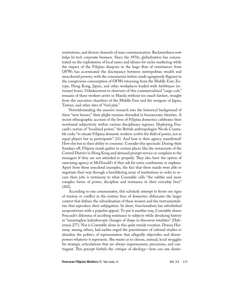institutions, and diverse channels of mass communication. Backwardness now helps hi-tech corporate business. Since the 1970s, globalization has concentrated on the exploitation of local tastes and idioms for niche marketing while the impact of the Filipino diaspora in the huge flow of remittances from OFWs has accentuated the discrepancy between metropolitan wealth and neocolonial poverty, with the consumerist *habitus* made egregiously flagrant in the conspicuous consumption of OFWs returning from the Middle East, Europe, Hong Kong, Japan, and other workplaces loaded with *balikbayan* (returnee) boxes. Unbeknownst to observers of this commercialized "cargo cult," remains of these workers arrive in Manila without too much fanfare, straight from the execution chambers of the Middle East and the morgues of Japan, Taiwan, and other sites of "foul play."

Notwithstanding the massive research into the historical background of these "new heroes," their plight remains shrouded in bureaucratic fatuities. A recent ethnographic account of the lives of Filipina domestics celebrates their newfound subjectivity within various disciplinary regimes. Deploying Foucault's notion of "localized power," the British anthropologist Nicole Constable seeks "to situate Filipina domestic workers *within* the field of power, not as equal players but as participants" (11). And how is their agency manifested? How else but in their ability to consume. Consider this spectacle: During their Sundays off, Filipina maids gather in certain places like the restaurants of the Central District in Hong Kong and demand prompt service or complain to the managers if they are not attended to properly. They also have the option of exercising agency at McDonald's if they ask for extra condiments or napkins. Apart from these anecdotal examples, the fact that these maids were able to negotiate their way through a bewildering array of institutions in order to secure their jobs is testimony to what Constable calls "the subtler and more complex forms of power, discipline and resistance in their everyday lives" (202).

According to one commentator, this scholarly attempt to ferret out signs of tension or conflict in the routine lives of domestics obfuscates the larger context that defines the subordination of these women and the instrumentalities that reproduce their subjugation. In short, functionalism has refurbished neopositivism with a populist appeal. To put it another way, Constable shares Foucault's dilemma of ascribing resistance to subjects while devaluing history as "meaningless kaleidoscopic changes of shape in discourse totalities" (Habermas 277). Nor is Constable alone in this quite trendy vocation. Donna Haraway, among others, had earlier urged the practitioners of cultural studies to abandon the politics of representation that allegedly objectifies and disempowers whatever it represents. She wants us to choose, instead, local struggles for strategic articulations that are always impermanent, precarious, and contingent. This precept forbids the critique of ideology—how can one distin-

**Overseas Filipino Workers** / E. San Juan, Jr. **708 / 115 / 115 / 115 / 115 / 115 / 115 / 116 / 116 / 116 / 116 / 116 / 116 / 116 / 116 / 116 / 116 / 116 / 116 / 116 / 116 / 116 / 116 / 116 / 116 / 116 / 116 / 116 / 116 /**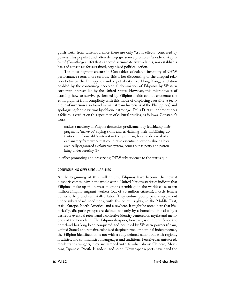guish truth from falsehood since there are only "truth effects" contrived by power? This populist and often demagogic stance promotes "a radical skepticism" (Brantlinger 102) that cannot discriminate truth-claims, nor establish a basis of consensus for sustained, organized political action.

The most flagrant erasure in Constable's calculated inventory of OFW performance seems more serious. This is her discounting of the unequal relation between the Philippines and a global city like Hong Kong, a relation enabled by the continuing neocolonial domination of Filipinos by Western corporate interests led by the United States. However, this microphysics of learning how to survive performed by Filipino maids cannot exonerate the ethnographist from complicity with this mode of displacing causality (a technique of inversion also found in mainstream historians of the Philippines) and apologizing for the victims by oblique patronage. Delia D. Aguilar pronounces a felicitous verdict on this specimen of cultural studies, as follows: Constable's work

makes a mockery of Filipina domestics' predicament by fetishizing their pragmatic 'make-do' coping skills and trivializing their mobilizing activities. . . . Constable's interest in the quotidian, because deprived of an explanatory framework that could raise essential questions about a hierarchically organized exploitative system, comes out as petty and patronizing under scrutiny (6),

in effect promoting and preserving OFW subservience to the status quo.

#### $$

At the beginning of this millennium, Filipinos have become the newest diasporic community in the whole world. United Nations statistics indicate that Filipinos make up the newest migrant assemblage in the world: close to ten million Filipino migrant workers (out of 90 million citizens), mostly female domestic help and semiskilled labor. They endure poorly paid employment under substandard conditions, with few or null rights, in the Middle East, Asia, Europe, North America, and elsewhere. It might be noted here that historically, diasporic groups are defined not only by a homeland but also by a desire for eventual return and a collective identity centered on myths and memories of the homeland. The Filipino diaspora, however, is different. Since the homeland has long been conquered and occupied by Western powers (Spain, United States) and remains colonized despite formal or nominal independence, the Filipino identification is not with a fully defined nation but with regions, localities, and communities of languages and traditions. Perceived as untutored, recalcitrant strangers, they are lumped with familiar aliens: Chinese, Mexicans, Japanese, Pacific Islanders, and so on. Newspaper reports have cited the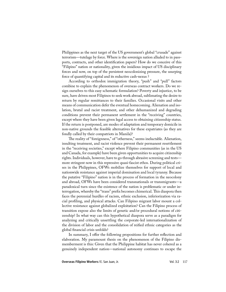Philippines as the next target of the US government's global "crusade" against terrorism—tutelage by force. Where is the sovereign nation alluded to in passports, contracts, and other identification papers? How do we conceive of this "Filipino" nation or nationality, given the insidious impact of US disciplinary forces and now, on top of the persistent neocolonizing pressure, the usurping force of quantifying capital and its reductive cash-nexus ?

According to orthodox immigration theory, "push" and "pull" factors combine to explain the phenomenon of overseas contract workers. Do we resign ourselves to this easy schematic formulation? Poverty and injustice, to be sure, have driven most Filipinos to seek work abroad, sublimating the desire to return by regular remittances to their families. Occasional visits and other means of communication defer the eventual homecoming. Alienation and isolation, brutal and racist treatment, and other dehumanized and degrading conditions prevent their permanent settlement in the "receiving" countries, except where they have been given legal access to obtaining citizenship status. If the return is postponed, are modes of adaptation and temporary domicile in non-native grounds the feasible alternatives for these expatriates (as they are fondly called by their compatriots in Manila)?

The reality of "foreignness," of "otherness," seems ineluctable. Alienation, insulting treatment, and racist violence prevent their permanent resettlement in the "receiving societies," except where Filipino communities (as in the US and Canada, for example) have been given opportunities to acquire citizenship rights. Individuals, however, have to go through abrasive screening and tests more stringent now in this repressive quasi-fascist ethos. During political crises in the Philippines, OFWs mobilize themselves for support of local and nationwide resistance against imperial domination and local tyranny. Because the putative "Filipino" nation is in the process of formation in the neocolony and abroad, OFWs have been considered transnationals or transmigrants—a paradoxical turn since the existence of the nation is problematic or under interrogation, whereby the "trans" prefix becomes chimerical. This diaspora then faces the perennial hurdles of racism, ethnic exclusion, inferiorization via racial profiling, and physical attacks. Can Filipino migrant labor mount a collective resistance against globalized exploitation? Can the Filipino process of transition expose also the limits of genetic and/or procedural notions of citizenship? In what way can this hypothetical diaspora serve as a paradigm for analyzing and critically unsettling the corporate-led internationalization of the division of labor and the consolidation of reified ethnic categories as the global financial crisis unfolds?

In summary, I offer the following propositions for further reflection and elaboration. My paramount thesis on the phenomenon of the Filipino dismemberment is this: Given that the Philippine habitat has never cohered as a genuinely independent nation—national autonomy continues to escape the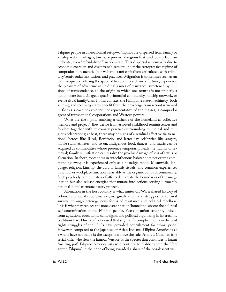Filipino people in a neocolonial setup—Filipinos are dispersed from family or kinship webs in villages, towns, or provincial regions first, and loosely from an inchoate, even "refeudalized," nation-state. This dispersal is primarily due to economic coercion and disenfranchisement under the retrogressive regime of comprador-bureaucratic (not welfare-state) capitalism articulated with tributary/semi-feudal institutions and practices. Migration is sometimes seen as an event-sequence offering the space of freedom to seek one's fortune, experience the pleasure of adventure in libidinal games of resistance, sweetened by illusions of transcendence, so the origin to which one returns is not properly a nation-state but a village, a quasi-primordial community, kinship network, or even a ritual family/clan. In this context, the Philippine state-machinery (both sending and receiving states benefit from the brokerage transaction) is viewed in fact as a corrupt exploiter, not representative of the masses, a comprador agent of transnational corporations and Western powers.

What are the myths enabling a cathexis of the homeland as collective memory and project? They derive from assorted childhood reminiscences and folklore together with customary practices surrounding municipal and religious celebrations; at best, there may be signs of a residual affective tie to national heroes like Rizal, Bonifacio, and latter-day celebrities like singers, movie stars, athletes, and so on. Indigenous food, dances, and music can be acquired as commodities whose presence temporarily heals the trauma of removal; family reunification can resolve the psychic damage of loss of status or alienation. In short, rootedness in autochthonous habitat does not exert a commanding sway; it is experienced only as a nostalgic mood. Meanwhile, language, religion, kinship, the aura of family rituals, and common experiences in school or workplace function invariably as the organic bonds of community. Such psychodynamic clusters of affects demarcate the boundaries of the imagination but also release energies that mutate into actions serving ultimately national-popular emancipatory projects.

Alienation in the host country is what unites OFWs, a shared history of colonial and racial subordination, marginalization, and struggles for cultural survival through heterogeneous forms of resistance and political rebellion. This is what may replace the nonexistent nation/homeland, absent the political self-determination of the Filipino people. Years of union struggle, unitedfront agitation, educational campaigns, and political organizing in interethnic coalitions have blurred if not erased that stigma. Accomplishments in the civil rights struggles of the 1960s have provided nourishment for ethnic pride. However, compared to the Japanese or Asian Indians, Filipino Americans as a whole have not made it; the exceptions prove the rule. Andrew Cunanan (the serial killer who slew the famous Versace) is the specter that continues to haunt "melting pot" Filipino Americanists who continue to blabber about the "forgotten Filipino" in the hope of being awarded a share of the obsolescent wel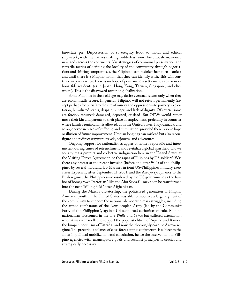fare-state pie. Dispossession of sovereignty leads to moral and ethical shipwreck, with the natives drifting rudderless, some fortuitously marooned in islands across the continents. Via strategies of communal preservation and versatile tactics of defining the locality of the community through negotiations and shifting compromises, the Filipino diaspora defers its return—unless and until there is a Filipino nation that they can identify with. This will continue in places where there is no hope of permanent resettlement as citizens or bona fide residents (as in Japan, Hong Kong, Taiwan, Singapore, and elsewhere). This is the disavowed terror of globalization.

Some Filipinos in their old age may desire eventual return only when they are economically secure. In general, Filipinos will not return permanently (except perhaps for burial) to the site of misery and oppression—to poverty, exploitation, humiliated status, despair, hunger, and lack of dignity. Of course, some are forcibly returned: damaged, deported, or dead. But OFWs would rather move their kin and parents to their place of employment, preferably in countries where family reunification is allowed, as in the United States, Italy, Canada, and so on, or even in places of suffering and humiliation, provided there is some hope or illusion of future improvement. Utopian longings can mislead but also reconfigure and redirect wayward travels, sojourns, and adventures.

Ongoing support for nationalist struggles at home is sporadic and intermittent during times of retrenchment and revitalized global apartheid. Do we see any mass protests and collective indignation here in the United States at the Visiting Forces Agreement, or the rapes of Filipinas by US soldiers? Was there any protest at the recent invasion (before and after 9/11) of the Philippines by several thousand US Marines in joint US-Philippines military exercises? Especially after September 11, 2001, and the Arroyo sycophancy to the Bush regime, the Philippines—considered by the US government as the harbor of homegrown "terrorists" like the Abu Sayyaf—may soon be transformed into the next "killing field" after Afghanistan.

During the Marcos dictatorship, the politicized generation of Filipino American youth in the United States was able to mobilize a large segment of the community to support the national-democratic mass struggles, including the armed combatants of the New People's Army (led by the Communist Party of the Philippines), against US-supported authoritarian rule. Filipino nationalism blossomed in the late 1960s and 1970s but suffered attenuation when it was rechanelled to support the populist elitism of Aquino and Ramos, the lumpen populism of Estrada, and now the thoroughly corrupt Arroyo regime. The precarious balance of class forces at this conjuncture is subject to the shifts in political mobilization and calculation, hence the intervention of Filipino agencies with emancipatory goals and socialist principles is crucial and strategically necessary.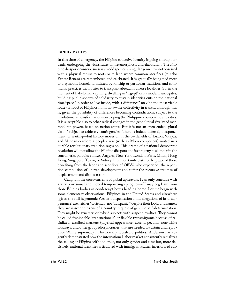#### **IDENTITY MATTERS**

In this time of emergency, the Filipino collective identity is going through ordeals, undergoing the vicissitudes of metamorphosis and elaboration. The Filipino diasporic consciousnessis an odd species, a singular genre: itis not obsessed with a physical return to roots or to land where common sacrifices (to echo Ernest Renan) are remembered and celebrated. It is gradually being tied more to a symbolic homeland indexed by kinship or particular traditions and communal practices that it tries to transplant abroad in diverse localities. So, in the moment of Babylonian captivity, dwelling in "Egypt" or its modern surrogates, building public spheres of solidarity to sustain identities outside the national time/space "in order to live inside, with a difference" may be the most viable route (or root) of Filipinos in motion—the collectivity in transit, although this is, given the possibility of differences becoming contradictions, subject to the revolutionary transformations enveloping the Philippine countryside and cities. It is susceptible also to other radical changes in the geopolitical rivalry of metropolitan powers based on nation-states. But it is not an open-ended "plural vision" subject to arbitrary contingencies. There is indeed deferral, postponement, or waiting—but history moves on in the battlefields of Luzon, Visayas, and Mindanao where a people's war (with its Moro component) rooted in a durable revolutionary tradition rages on. This drama of a national-democratic revolution will not allow the Filipino diaspora and its progeny to slumber in the consumerist paradises of Los Angeles, New York, London, Paris, Milan, Hong Kong, Singapore, Tokyo, or Sidney. It will certainly disturb the peace of those benefiting from the labor and sacrifices of OFWs who experience the repetition-compulsion of uneven development and suffer the recursive traumas of displacement and dispossession.

Caught in the cross-currents of global upheavals, I can only conclude with a very provisional and indeed temporizing epilogue—if I may beg leave from those Filipina bodies in nondescript boxes heading home. Let me begin with some elementary observations. Filipinos in the United States and elsewhere (given the still hegemonic Western dispensation amid allegations of its disappearance) are neither "Oriental" nor "Hispanic," despite their looks and names; they are nascent citizens of a country in quest of genuine self-determination. They might be syncretic or hybrid subjects with suspect loyalties. They cannot be called fashionable "transnationals" or flexible transmigrants because of racialized, ascribed markers (physical appearance, accent, peculiar non-white folkways, and other group idiosyncrasies) that are needed to sustain and reproduce White supremacy in historically racialized polities. Anderson has cogently demonstrated how the international labor market consistently racializes the selling of Filipina selfhood; thus, not only gender and class but, more decisively, national identities articulated with immigrant status, inferiorized cul-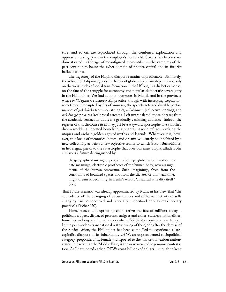ture, and so on, are reproduced through the combined exploitation and oppression taking place in the employer's household. Slavery has become redomesticated in the age of reconfigured mercantilism—the vampires of the past continue to haunt the cyber-domain of finance capital and its futurist hallucinations.

The trajectory of the Filipino diaspora remains unpredictable. Ultimately, the rebirth of Filipino agency in the era of global capitalism depends not only on the vicissitudes of social transformation in the US but, in a dialectical sense, on the fate of the struggle for autonomy and popular-democratic sovereignty in the Philippines. We find autonomous zones in Manila and in the provinces where *balikbayan*s (returnees) still practice, though with increasing trepidation sometimes interrupted by fits of amnesia, the speech-acts and durable performances of *pakikibaka* (common struggle), *pakikiramay* (collective sharing), and *pakikipagkapwa-tao* (reciprocal esteem). Left untranslated, those phrases from the academic vernacular address a gradually vanishing audience. Indeed, the register of this discourse itself may just be a wayward apostrophe to a vanished dream world—a liberated homeland, a phantasmagoric refuge—evoking the utopias and archaic golden ages of myths and legends. Wherever it is, however, this locus of memories, hopes, and dreams will surely be inhabited by a new collectivity as befits a new objective reality to which Susan Buck-Morss, in her elegiac paean to the catastrophe that overtook mass utopia, alludes. She envisions a future distinguished by

the geographical mixing of people and things, global webs that disseminate meanings, electronic prostheses of the human body, new arrangements of the human sensorium. Such imaginings, freed from the constraints of bounded spaces and from the dictates of unilinear time, might dream of becoming, in Lenin's words, "as radical as reality itself" (278)

That future scenario was already approximated by Marx in his view that "the coincidence of the changing of circumstances and of human activity or selfchanging can be conceived and rationally understood only as revolutionary practice" (Fischer 170).

Homelessness and uprooting characterize the fate of millions today political refugees, displaced persons, emigres and exiles, stateless nationalities, homeless and vagrant humans everywhere. Solidarity acquires a new temper. In the postmodern transnational restructuring of the globe after the demise of the Soviet Union, the Philippines has been compelled to experience a latecapitalist diaspora of its inhabitants. OFW, an unprecedented sociopolitical category (preponderantly female) transported to the markets of various nationstates, in particular the Middle East, is the new arena of hegemonic contestation. As I have noted earlier, OFWs remit billions of dollars—enough to keep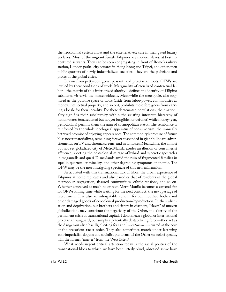the neocolonial system afloat and the elite relatively safe in their gated luxury enclaves. Most of the migrant female Filipinos are modern slaves, at best indentured servants. They can be seen congregating in front of Rome's railway station, London parks, city squares in Hong Kong and Taipei, and other open public quarters of newly-industrialized societies. They are the plebeians and proles of the global cities.

Drawn from petty-bourgeois, peasant, and proletarian roots, OFWs are leveled by their conditions of work. Marginality of racialized contractual labor—the matrix of this inferiorized alterity—defines the identity of Filipino subalterns vis-a-vis the master-citizens. Meanwhile the metropole, also cognized as the putative space of flows (aside from labor-power, commodities as money, intellectual property, and so on), prohibits these foreigners from carving a locale for their sociality. For these deracinated populations, their nationality signifies their subalternity within the existing interstate hierarchy of nation-states (emasculated but not yet fungible nor defunct) while money (yen, petrodollars) permits them the aura of cosmopolitan status. The semblance is reinforced by the whole ideological apparatus of consumerism, the ironically betrayed promise of enjoying appearances. The commodity's promise of future bliss never materializes, remaining forever suspended in giant billboard advertisements, on TV and cinema screens, and in fantasies. Meanwhile, the almost but not yet globalized city of MetroManila exudes an illusion of consumerist affluence, sporting the postcolonial mirage of hybrid and syncretic spectacles in megamalls and quasi-Disneylands amid the ruin of fragmented families in squalid quarters, criminality, and other degrading symptoms of anomie. The OFW may be the most intriguing spectacle of this new millennium.

Articulated with this transnational flux of labor, the urban experience of Filipinos at home replicates and also parodies that of residents in the global metropolis: segregation, fissured communities, ethnic tensions, and so on. Whether conceived as machine or text, MetroManila becomes a carceral site for OFWs killing time while waiting for the next contract, the next passage of recruitment. It is also an inhospitable conduit for commodified bodies and other damaged goods of neocolonial production/reproduction. In their alienation and deprivation, our brothers and sisters in diaspora, "slaves" of uneven globalization, may constitute the negativity of the Other, the alterity of the permanent crisis of transnational capital. I don't mean a global or international proletarian vanguard, but simply a potentially destabilizing force—they act as the dangerous alien bacilli, eliciting fear and *ressentiment*—situated at the core of the precarious racist order. They also sometimes march under left-wing anti-imperialist slogans and socialist platforms. If the Other (of color) speaks, will the former "master" from the West listen?

What needs urgent critical attention today is the racial politics of the transnational blocs to which we have been utterly blind, obsessed as we have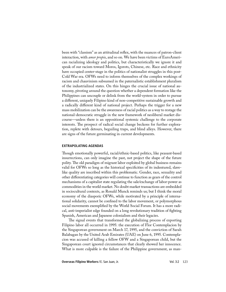been with "classism" as an attitudinal reflex, with the nuances of patron-client interaction, with *amor propio*, and so on. We have been victims of EuroAmerican racializing ideology and politics, but characteristically we ignore it and speak of our racism toward Moros, Igorots, Chinese, etc. Race and ethnicity have occupied center-stage in the politics of nationalist struggles in this post-Cold War era. OFWs need to inform themselves of the complex workings of racism and chauvinism subsumed in the paternalistic establishment pluralism of the industrialized states. On this hinges the crucial issue of national autonomy, pivoting around the question whether a dependent formation like the Philippines can uncouple or delink from the world-system in order to pursue a different, uniquely Filipino kind of non-competitive sustainable growth and a radically different kind of national project. Perhaps the trigger for a new mass mobilization can be the awareness of racial politics as a way to restage the national-democratic struggle in the new framework of neoliberal market discourse—unless there is an oppositional systemic challenge to the corporate interests. The prospect of radical social change beckons for further exploration, replete with detours, beguiling traps, and blind alleys. However, there are signs of the future germinating in current developments.

## **EXTRAPOLATING AGENDAS**

Though emotionally powerful, racial/ethnic-based politics, like peasant-based insurrections, can only imagine the past, not project the shape of the future polity. The old paradigm of migrant labor exploited by global business remains valid for OFWs so long as the historical specificities of its indentured, slavelike quality are inscribed within this problematic. Gender, race, sexuality and other differentiating categories will continue to function as gears of the control mechanisms of a capitalist state regulating the sale/exchange of labor-power as commodities in the world market. No doubt market transactions are embedded in sociocultural contexts, as Ronald Munck reminds us; but I think the moral economy of the diasporic OFWs, while motivated by a principle of international solidarity, cannot be confined to the labor movement, or polymorphous social movements exemplified by the World Social Forum. It has a more radical, anti-imperialist edge founded on a long revolutionary tradition of fighting Spanish, American and Japanese colonialism and their legacies.

The signal events that transformed the globalizing process of exporting Filipino labor all occurred in 1995: the execution of Flor Contemplacion by the Singaporean government on March 17, 1995, and the conviction of Sarah Balabagan by the United Arab Emirates (UAE) on June 6, 1995. Contemplacion was accused of killing a fellow OFW and a Singaporean child, but the Singaporean court ignored circumstances that clearly showed her innocence. What is more culpable is the failure of the Philippine government, as man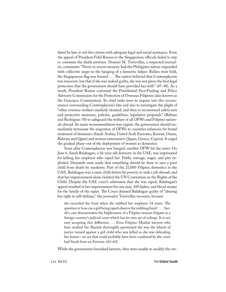dated by law, to aid this citizen with adequate legal and social assistance. Even the appeal of President Fidel Ramos to the Singaporean officials failed to stay or commute the death sentence. Domini M. Torrevillas, a respected journalist, comments: "Never in recent memory had the Philippine nation responded with collective anger to the hanging of a domestic helper. Rallies were held, the Singaporean flag was burned  $\ldots$  The nation believed that Contemplacion was innocent, but that if she was indeed guilty, she was not given the best legal protection that the government should have provided her with" (47–48). As a result, President Ramos convened the Presidential Fact-Finding and Policy Advisory Commission for the Protection of Overseas Filipinos (also known as the Gancayco Commission). Its chief tasks were to inquire into the circumstances surrounding Contemplacion's fate and also to investigate the plight of "other overseas workers similarly situated; and then to recommend safety nets and protective measures, policies, guidelines, legislative proposals" (Beltran and Rodriguez 70) to safeguard the welfare of all OFWs and Filipino nationals abroad. Its main recommendation was urgent: the government should immediately terminate the migration of OFWs to countries infamous for brutal treatment of domestics (Saudi Arabia, United Arab Emirates, Kuwait, Oman, Bahrain and Qatar) and women entertainers (Japan, Greece, Cyprus). It urged the gradual phase-out of the deployment of women as domestics.

Soon after Contemplacion was hanged, another OFW hit the news: On June 6, Sarah Balabagan, a 16–year old domestic in the UAE, was imprisoned for killing her employer who raped her. Public outrage, anger, and pity exploded. Demands were made that something should be done to save a poor child from death by musketry. Part of the 21,000 Filipina domestics in the UAE, Balabagan was a mere child driven by poverty to seek a job abroad; and that her imprisonment alone violated the UN Convention on the Rights of the Child. Despite the UAE court's admission that she was raped, Balabagan's appeal resulted in her imprisonment for one year, 100 lashes, and blood money for the family of the rapist. The Court deemed Balabagan guilty of "abusing" her right to self-defense," the journalist Torrevillas recounts, because

she exceeded the limit when she stabbed her employer 34 times. The question is: howcan a girl being raped observe the stabbing limit? . . . Sarah's case demonstrates the helplessness of a Filipino woman litigant in a foreign country's judicial court which has its own set of rulings. It is not easy accepting this difference. . . . Even Filipino Muslim lawyers who have studied the Shariah thoroughly questioned the way the wheels of justice turned against a girl child who was killed as she was defending her honor—an act that could probably have been condoned by the court had Sarah been an Emirate. (61–62)

While the government furnished lawyers, they were unable to modify the ver-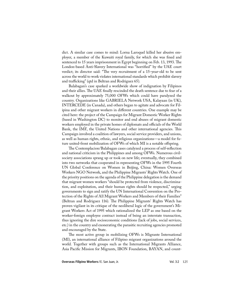dict. A similar case comes to mind: Lorna Laroquel killed her abusive employer, a member of the Kuwaiti royal family, for which she was fined and sentenced to 15 years imprisonment in Egypt beginning on Feb. 13, 1993. The London-based Anti-Slavery International was "horrified" by the UAE court verdict; its director said: "The very recruitment of a 15-year-old to be sent across the world to work violates international standards which prohibit slavery and trafficking" (qtd in Beltran and Rodriguez 65).

Balabagan's case sparked a worldwide show of indignation by Filipinos and their allies. The UAE finally rescinded the death sentence due to fear of a walkout by approximately 75,000 OFWs which could have paralyzed the country. Organizations like GABRIELA Network USA, Kalayaan (in UK), INTERCEDE (in Canada), and others began to agitate and advocate for Filipina and other migrant workers in different countries. One example may be cited here: the project of the Campaign for Migrant Domestic Worker Rights (based in Washington DC) to monitor and end abuses of migrant domestic workers employed in the private homes of diplomats and officials of the World Bank, the IMF, the United Nations and other international agencies. This Campaign involved a coalition of lawyers, social service providers, and unions, as well as human rights, ethnic, and religious organizations—a model for future united-front mobilization of OFWs of which MI is a notable offspring.

The Contemplacion/Balabagan cases catalyzed a process of self-reflection and national criticism in the Philippines and among OFWs. Numerous civilsociety associations sprang up or took on new life; eventually, they combined into two networks that cooperated in representing OFWs in the 1995 Fourth UN Global Conference on Women in Beijing, China: Women Overseas Workers NGO Network, and the Philippine Migrants' Rights Watch. One of the priority positions on the agenda of the Philippine delegation is the demand that migrant women workers "should be protected from violence, discrimination, and exploitation, and their human rights should be respected," urging governments to sign and ratify the UN International Convention on the Protection of the Rights of All Migrant Workers and Members of their Families" (Beltran and Rodriguez 116). The Philippine Migrants' Rights Watch has proven vigilant in its critique of the neoliberal logic of the government's Migrant Workers Act of 1995 which rationalized the LEP as one based on the worker-foreign employee contract instead of being an interstate transaction, thus ignoring the dire socioeconomic conditions (lack of jobs, social services, etc.) in the country and exonerating the parasitic recruiting agencies promoted and encouraged by the State.

The most active group in mobilizing OFWs is Migrante International (MI), an international alliance of Filipino migrant organizations around the world. Together with groups such as the International Migrants Alliance, Asia Pacific Mission for Migrants, IBON Foundation, BAYAN, and count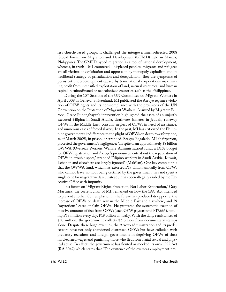less church-based groups, it challenged the intergovernment-directed 2008 Global Forum on Migration and Development (GFMD) held in Manila, Philippines. The GMFD hyped migration as a tool of national development, whereas, in truth—MI countered—displaced peoples, migrants and refugees are all victims of exploitation and oppression by monopoly capitalism and its neoliberal strategy of privatization and deregulation. They are symptoms of persistent underdevelopment caused by transnational corporations maximizing profit from intensified exploitation of land, natural resources, and human capital in subordinated or neocolonized countries such as the Philippines.

During the 10<sup>th</sup> Sessions of the UN Committee on Migrant Workers in April 2009 in Geneva, Switzerland, MI publicized the Arroyo regime's violation of OFW rights and its non-compliance with the provisions of the UN Convention on the Protection of Migrant Workers. Assisted by Migrante Europe, Grace Punongbayan's intervention highlighted the cases of an unjustly executed Filipina in Saudi Arabia, death-row inmates in Jeddah, runaway OFWs in the Middle East, consular neglect of OFWs in need of assistance, and numerous cases of forced slavery. In the past, MI has criticized the Philippine government's indifference to the plight of OFWs on death row (forty one, as of March 2009), in prison, or stranded. Bragas-Regalado, MI chairperson, protested the government's negligence: "In spite of an approximately \$8 billion OWWA (Overseas Workers Welfare Administration) fund, a DFA budget for OFW repatriation and Arroyo's pronouncements about the repatriation of OFWs in 'trouble spots,' stranded Filipino workers in Saudi Arabia, Kuwait, Lebanon and elsewhere are largely ignored" (Makilan). One key complaint is that the OWWA fund, which has extorted P19 billion annually from OFWs who cannot leave without being certified by the government, has not spent a single cent for migrant welfare; instead, it has been illegally raided by the Executive Office with impunity.

In a forum on "Migrant Rights Protection, Not Labor Exportation," Gary Martinex, the current chair of MI, remarked on how the 1995 Act intended to prevent another Contemplacion in the future has produced its opposite: the increase of OFWs on death row in the Middle East and elsewhere, and 29 "mysterious" cases of slain OFWs. He protested the systematic exaction of massive amounts of fees from OFWs (each OFW pays around P17,665), totaling P53 million every day, P19 billion annually. With the daily remittances of \$30 million, the government collects \$2 billion from documentary stamps alone. Despite these huge revenues, the Arroyo administration and its predecessors have not only abandoned distressed OFWs but have colluded with predatory recruiters and foreign governments in depriving OFWs of their hard-earned wages and punishing those who fled from brutal sexual and physical abuse. In effect, the government has flouted or mocked its own 1995 Act (RA 8042) which states that "The existence of the overseas employment pro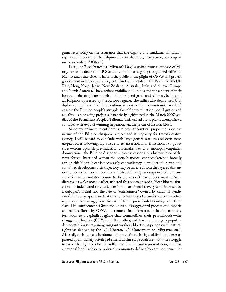gram rests solely on the assurance that the dignity and fundamental human rights and freedoms of the Filipino citizens shall not, at any time, be compromised or violated" (Olea 2).

Last June 7, celebrated as "Migrant's Day," a united front composed of MI together with dozens of NGOs and church-based groups organized rallies in Manila and other cities to inform the public of the plight of OFWs and protest government inefficiency and neglect. This front mobilized OFWs in the Middle East, Hong Kong, Japan, New Zealand, Australia, Italy, and all over Europe and North America. These actions mobilized Filipinos and the citizens of their host countries to agitate on behalf of not only migrants and refugees, but also of all Filipinos oppressed by the Arroyo regime. The rallies also denounced U.S. diplomatic and coercive interventions (covert action, low-intensity warfare) against the Filipino people's struggle for self-determination, social justice and equality—an ongoing project substantively legitimized in the March 2007 verdict of the Permanent People's Tribunal. This united-front praxis exemplifies a cumulative strategy of winning hegemony via the praxis of historic blocs.

Since my primary intent here is to offer theoretical propositions on the nature of the Filipino diasporic subject and its capacity for transformative agency, I will hazard to conclude with large generalizations and even some utopian foreshadowing. By virtue of its insertion into transitional conjunctures—from Spanish pre-industrial colonialism to U.S. monopoly-capitalist domination—the Filipino diasporic subject is essentially a historic bloc of diverse forces. Inscribed within the socio-historical context sketched broadly earlier, this bloc/subject is necessarily contradictory, a product of uneven and combined development. Its trajectory may be inferred from the layered dimension of its social rootedness in a semi-feudal, comprador-sponsored, bureaucratic formation and its exposure to the dictates of the neoliberal market. Such dictates, as we've noted earlier, ushered this neocolonized subject-bloc to situations of indentured servitude, serfhood, or virtual slavery (as witnessed by Balabagan's ordeal and the fate of "entertainers" owned by criminal syndicates). One may speculate that this collective subject manifests a constructive negativity as it struggles to free itself from quasi-feudal bondage and from slave-like confinement. Given the uneven, disaggregated process of diasporic contracts suffered by OFWs—a removal first from a semi-feudal, tributary formation to a capitalist regime that commodifies their personhoods—the struggle of this bloc (OFWs and their allies) will have to undergo a populardemocratic phase: regaining migrant-workers' liberties as persons with natural rights (as defined by the UN Charter, UN Convention on Migrants, etc.). After all, their cause is fundamental: to regain their right of livelihood expropriated by a minority privileged elite. But this stage coalesces with the struggle to assert the right to collective self-determination and representation, either as a national/popular bloc or political community defined by common principles

**Overseas Filipino Workers** / E. San Juan, Jr. **127 127 127**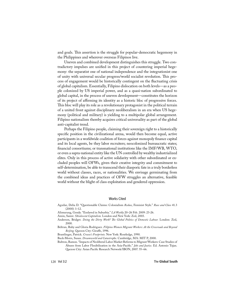and goals. This assertion is the struggle for popular-democratic hegemony in the Philippines and wherever overseas Filipinos live.

Uneven and combined development distinguishes this struggle. Two contradictory impulses are unified in this project of countering imperial hegemony: the separatist one of national independence and the integrationist one of unity with universal secular progress/world socialist revolution. This process of engagement would be historically contingent on the fluctuating crisis of global capitalism. Essentially, Filipino dislocation on both levels—as a people colonized by US imperial power, and as a quasi-nation subordinated to global capital, in the process of uneven development—constitutes the horizon of its project of affirming its identity as a historic bloc of progressive forces. This bloc will play its role as a revolutionary protagonist in the political terrain of a united front against disciplinary neoliberalism in an era when US hegemony (political and military) is yielding to a multipolar global arrangement. Filipino nationalism thereby acquires critical universality as part of the global anti-capitalist trend.

Perhaps the Filipino people, claiming their sovereign right to a historically specific position in the civilizational arena, would then become equal, active participants in a worldwide coalition of forces against monopoly finance capital and its local agents, be they labor recruiters; neocolonized bureaucratic states; financial consortiums; or transnational institutions like the IMF/WB, WTO, or even a supra-national entity like the UN controlled by wealthy industrialized elites. Only in this process of active solidarity with other subordinated or excluded peoples will OFWs, given their creative integrity and commitment to self-determination, be able to transcend their diasporic fate in a truly borderless world without classes, races, or nationalities. We envisage germinating from the combined ideas and practices of OFW struggles an alternative, feasible world without the blight of class exploitation and gendered oppression.

## **Works Cited**

- Aguilar, Delia D. "Questionable Claims: Colonialism *Redux*, Feminist Style." *Race and Class* 41.3 (2000): 1–12.
- Alimurung, Gendy. "Enslaved in Suburbia." *LA Weekly* 20–26 Feb. 2009: 23-26.

Amin, Samir. *Obsolescent Capitalism.* London and New York: Zed, 2003.

- Anderson, Bridget. *Doing the Dirty Work? "e Global Politics of Domestic Labour.* London: Zed, 2000.
- Beltran, Ruby and Gloria Rodriguez. *Filipino Women Migrant Workers: At the Crossroads and Beyond Beijing.* Quezon City: Giraffe, 1996.

Brantlinger, Patrick. *Crusoe's Footprints.* New York: Routledge, 1990.

Buck-Morrs, Susan. *Dreamworld and Catastrophe.* Cambridge, MA: MIT P, 2000.

Bultron, Ramon. "Impacts of Neoliberal Labor Market Reforms to Migrant Workers: Case Studies of Abuses from Labor Flexibilization in the Asia-Pacific." *Jobs and Justice*. Ed. Antonio Tujan. Quezon City: Asian Pacific Research Network/IBON, 2007. 55–66.